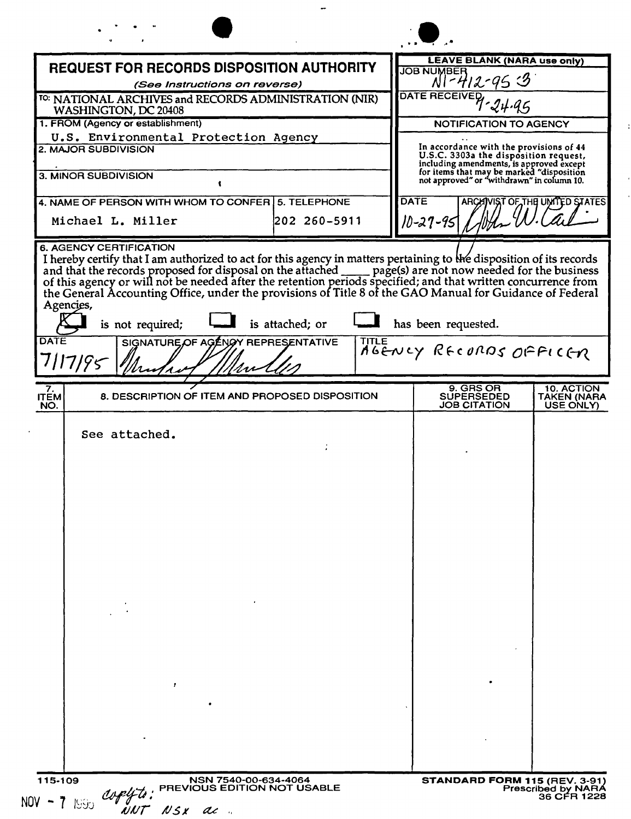|                                                                                                                                                                                                                                                                                                                                                                                   |                                                       |              | <b>LEAVE BLANK (NARA use only)</b>                                                      |                                        |
|-----------------------------------------------------------------------------------------------------------------------------------------------------------------------------------------------------------------------------------------------------------------------------------------------------------------------------------------------------------------------------------|-------------------------------------------------------|--------------|-----------------------------------------------------------------------------------------|----------------------------------------|
| <b>REQUEST FOR RECORDS DISPOSITION AUTHORITY</b><br>(See Instructions on reverse)                                                                                                                                                                                                                                                                                                 |                                                       |              | JOB NUMBER<br>$N1 - 412 - 953$                                                          |                                        |
| <sup>TO:</sup> NATIONAL ARCHIVES and RECORDS ADMINISTRATION (NIR)<br>WASHINGTON, DC 20408                                                                                                                                                                                                                                                                                         |                                                       |              | DATE RECEIVED                                                                           |                                        |
| 1. FROM (Agency or establishment)                                                                                                                                                                                                                                                                                                                                                 |                                                       |              | NOTIFICATION TO AGENCY                                                                  |                                        |
| U.S. Environmental Protection Agency<br><b>2. MAJOR SUBDIVISION</b>                                                                                                                                                                                                                                                                                                               |                                                       |              | In accordance with the provisions of 44                                                 |                                        |
|                                                                                                                                                                                                                                                                                                                                                                                   |                                                       |              | U.S.C. 3303a the disposition request,<br>including amendments, is approved except       |                                        |
| <b>3. MINOR SUBDIVISION</b><br>ŧ                                                                                                                                                                                                                                                                                                                                                  |                                                       |              | for items that may be marked "disposition<br>not approved" or "withdrawn" in column 10. |                                        |
| 4. NAME OF PERSON WITH WHOM TO CONFER 5. TELEPHONE                                                                                                                                                                                                                                                                                                                                |                                                       |              | <b>DATE</b>                                                                             | ARCHIVIST OF THE UNITED STATES         |
| Michael L. Miller                                                                                                                                                                                                                                                                                                                                                                 | 202 260-5911                                          |              | 10-27-95                                                                                |                                        |
| and that the records proposed for disposal on the attached page(s) are not now needed for the business of this agency or will not be needed after the retention periods specified; and that written concurrence from<br>the General Accounting Office, under the provisions of Title 8 of the GAO Manual for Guidance of Federal<br>Agencies,<br>is not required;<br>DATE<br>7195 | is attached; or<br>SIGNATURE OF AGENOY REPRESENTATIVE | <b>TITLE</b> | has been requested.<br>AGENCY RECORDS OFFICER                                           |                                        |
| 7.<br><b>ITEM</b><br>NO.                                                                                                                                                                                                                                                                                                                                                          | 8. DESCRIPTION OF ITEM AND PROPOSED DISPOSITION       |              | 9. GRS OR<br><b>SUPERSEDED</b><br><b>JOB CITATION</b>                                   | 10. ACTION<br>TAKEN (NARA<br>USE ONLY) |
| See attached.                                                                                                                                                                                                                                                                                                                                                                     |                                                       |              |                                                                                         |                                        |
|                                                                                                                                                                                                                                                                                                                                                                                   |                                                       |              |                                                                                         |                                        |
|                                                                                                                                                                                                                                                                                                                                                                                   |                                                       |              |                                                                                         |                                        |
|                                                                                                                                                                                                                                                                                                                                                                                   |                                                       |              |                                                                                         |                                        |
|                                                                                                                                                                                                                                                                                                                                                                                   |                                                       |              |                                                                                         |                                        |
|                                                                                                                                                                                                                                                                                                                                                                                   |                                                       |              |                                                                                         |                                        |
|                                                                                                                                                                                                                                                                                                                                                                                   |                                                       |              |                                                                                         |                                        |
|                                                                                                                                                                                                                                                                                                                                                                                   |                                                       |              |                                                                                         |                                        |
|                                                                                                                                                                                                                                                                                                                                                                                   |                                                       |              |                                                                                         |                                        |
|                                                                                                                                                                                                                                                                                                                                                                                   |                                                       |              |                                                                                         |                                        |
|                                                                                                                                                                                                                                                                                                                                                                                   |                                                       |              |                                                                                         |                                        |
|                                                                                                                                                                                                                                                                                                                                                                                   |                                                       |              |                                                                                         |                                        |
|                                                                                                                                                                                                                                                                                                                                                                                   |                                                       |              |                                                                                         |                                        |
| f.                                                                                                                                                                                                                                                                                                                                                                                |                                                       |              |                                                                                         |                                        |
|                                                                                                                                                                                                                                                                                                                                                                                   |                                                       |              |                                                                                         |                                        |
|                                                                                                                                                                                                                                                                                                                                                                                   |                                                       |              |                                                                                         |                                        |
|                                                                                                                                                                                                                                                                                                                                                                                   |                                                       |              |                                                                                         |                                        |
|                                                                                                                                                                                                                                                                                                                                                                                   |                                                       |              |                                                                                         |                                        |

ţ